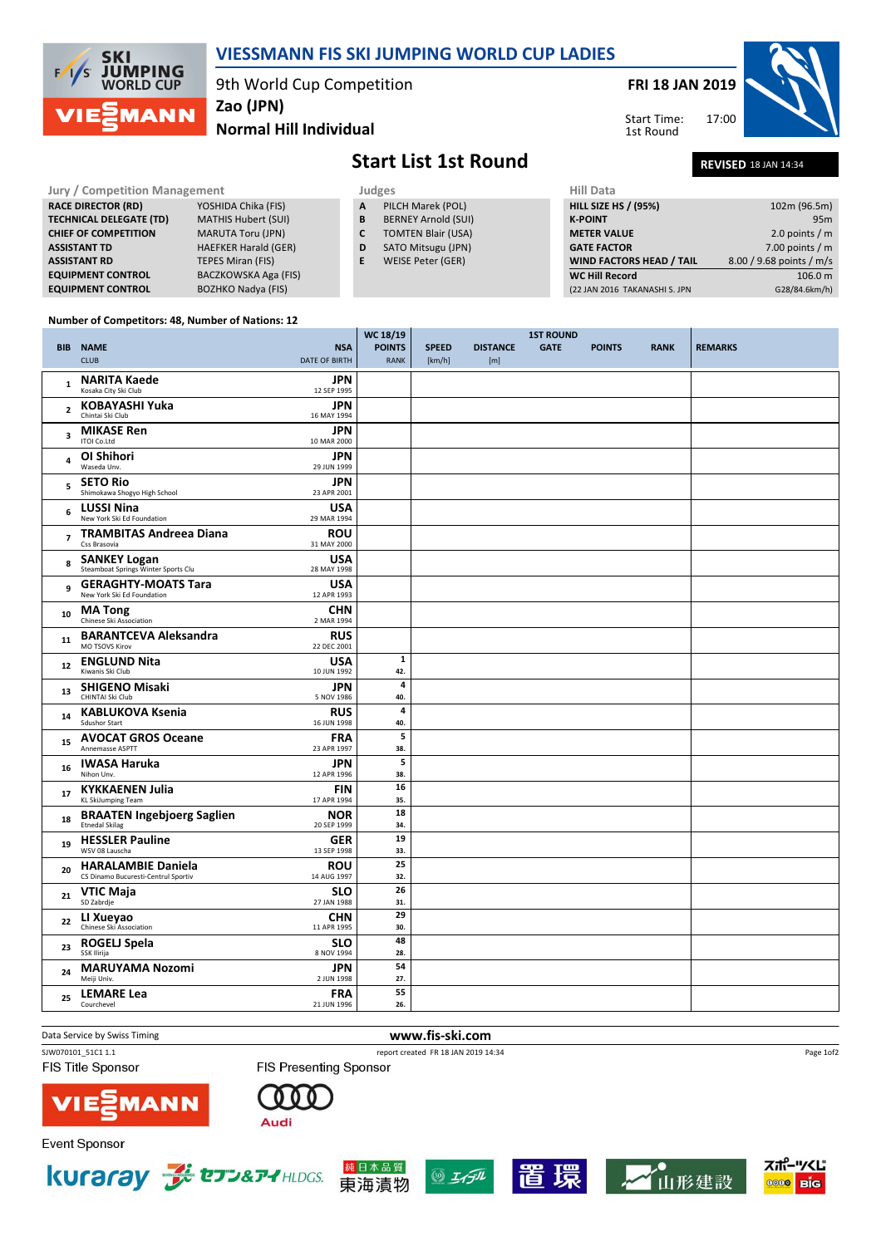

## VIESSMANN FIS SKI JUMPING WORLD CUP LADIES

9th World Cup Competition

Zao (JPN)

Normal Hill Individual

FRI 18 JAN 2019

17:00 Start Time: 1st Round



**Start List 1st Round** 

| <b>REVISED 18 JAN 14:34</b> |  |
|-----------------------------|--|
|                             |  |

| <b>Jury / Competition Management</b> |                                |                             | Judges | <b>Hill Data</b>           |                                 |                          |
|--------------------------------------|--------------------------------|-----------------------------|--------|----------------------------|---------------------------------|--------------------------|
|                                      | <b>RACE DIRECTOR (RD)</b>      | YOSHIDA Chika (FIS)         | A      | PILCH Marek (POL)          | <b>HILL SIZE HS / (95%)</b>     | 102m (96.5m)             |
|                                      | <b>TECHNICAL DELEGATE (TD)</b> | MATHIS Hubert (SUI)         | B      | <b>BERNEY Arnold (SUI)</b> | <b>K-POINT</b>                  | 95 <sub>m</sub>          |
|                                      | <b>CHIEF OF COMPETITION</b>    | <b>MARUTA Toru (JPN)</b>    | C      | <b>TOMTEN Blair (USA)</b>  | <b>METER VALUE</b>              | 2.0 points / $m$         |
|                                      | <b>ASSISTANT TD</b>            | <b>HAEFKER Harald (GER)</b> | D      | SATO Mitsugu (JPN)         | <b>GATE FACTOR</b>              | 7.00 points / $m$        |
|                                      | <b>ASSISTANT RD</b>            | TEPES Miran (FIS)           | E      | WEISE Peter (GER)          | <b>WIND FACTORS HEAD / TAIL</b> | 8.00 / 9.68 points / m/s |
|                                      | <b>EQUIPMENT CONTROL</b>       | BACZKOWSKA Aga (FIS)        |        |                            | <b>WC Hill Record</b>           | 106.0 m                  |
|                                      | <b>EQUIPMENT CONTROL</b>       | <b>BOZHKO Nadya (FIS)</b>   |        |                            | (22 JAN 2016 TAKANASHI S. JPN   | G28/84.6km/h)            |

 $\frac{1}{\sqrt{2}}$ 

### Number of Competitors: 48, Number of Nations: 12

|                |                                                                                 |            | WC 18/19            |              |                 | <b>1ST ROUND</b> |               |             |                |
|----------------|---------------------------------------------------------------------------------|------------|---------------------|--------------|-----------------|------------------|---------------|-------------|----------------|
|                | <b>BIB NAME</b>                                                                 | <b>NSA</b> | <b>POINTS</b>       | <b>SPEED</b> | <b>DISTANCE</b> | <b>GATE</b>      | <b>POINTS</b> | <b>RANK</b> | <b>REMARKS</b> |
|                | <b>CLUB</b><br><b>DATE OF BIRTH</b>                                             |            | <b>RANK</b>         | [km/h]       | [m]             |                  |               |             |                |
| $\mathbf{1}$   | <b>NARITA Kaede</b><br>Kosaka City Ski Club<br>12 SEP 1995                      | <b>JPN</b> |                     |              |                 |                  |               |             |                |
| $\mathbf{2}$   | <b>KOBAYASHI Yuka</b><br>Chintai Ski Club<br>16 MAY 1994                        | <b>JPN</b> |                     |              |                 |                  |               |             |                |
| 3              | <b>MIKASE Ren</b><br>ITOI Co.Ltd<br>10 MAR 2000                                 | <b>JPN</b> |                     |              |                 |                  |               |             |                |
| 4              | <b>OI Shihori</b><br>Waseda Unv.<br>29 JUN 1999                                 | <b>JPN</b> |                     |              |                 |                  |               |             |                |
| 5              | <b>SETO Rio</b><br>Shimokawa Shogyo High School<br>23 APR 2001                  | <b>JPN</b> |                     |              |                 |                  |               |             |                |
| 6              | <b>LUSSI Nina</b><br>New York Ski Ed Foundation<br>29 MAR 1994                  | <b>USA</b> |                     |              |                 |                  |               |             |                |
| $\overline{7}$ | <b>TRAMBITAS Andreea Diana</b><br>Css Brasovia<br>31 MAY 2000                   | <b>ROU</b> |                     |              |                 |                  |               |             |                |
| 8              | <b>SANKEY Logan</b><br>Steamboat Springs Winter Sports Clu<br>28 MAY 1998       | <b>USA</b> |                     |              |                 |                  |               |             |                |
| 9              | <b>GERAGHTY-MOATS Tara</b><br>New York Ski Ed Foundation<br>12 APR 1993         | <b>USA</b> |                     |              |                 |                  |               |             |                |
| 10             | <b>MA</b> Tong<br>Chinese Ski Association<br>2 MAR 1994                         | <b>CHN</b> |                     |              |                 |                  |               |             |                |
| 11             | <b>BARANTCEVA Aleksandra</b><br>MO TSOVS Kirov<br>22 DEC 2001                   | <b>RUS</b> |                     |              |                 |                  |               |             |                |
| 12             | <b>ENGLUND Nita</b><br>Kiwanis Ski Club<br>10 JUN 1992                          | <b>USA</b> | $\mathbf{1}$<br>42. |              |                 |                  |               |             |                |
| 13             | <b>SHIGENO Misaki</b><br>CHINTAI Ski Club<br>5 NOV 1986                         | <b>JPN</b> | 4<br>40.            |              |                 |                  |               |             |                |
| 14             | <b>KABLUKOVA Ksenia</b><br><b>Sdushor Start</b><br>16 JUN 1998                  | <b>RUS</b> | 4<br>40.            |              |                 |                  |               |             |                |
| 15             | <b>AVOCAT GROS Oceane</b><br>Annemasse ASPTT<br>23 APR 1997                     | FRA        | 5<br>38.            |              |                 |                  |               |             |                |
| 16             | <b>IWASA Haruka</b><br>Nihon Unv.<br>12 APR 1996                                | <b>JPN</b> | 5<br>38.            |              |                 |                  |               |             |                |
| 17             | <b>KYKKAENEN Julia</b><br>KL SkiJumping Team<br>17 APR 1994                     | <b>FIN</b> | 16<br>35.           |              |                 |                  |               |             |                |
| 18             | <b>BRAATEN Ingebjoerg Saglien</b><br>Etnedal Skilag<br>20 SEP 1999              | <b>NOR</b> | 18<br>34.           |              |                 |                  |               |             |                |
| 19             | <b>HESSLER Pauline</b><br>WSV 08 Lauscha<br>13 SEP 1998                         | <b>GER</b> | 19<br>33.           |              |                 |                  |               |             |                |
| 20             | <b>HARALAMBIE Daniela</b><br>CS Dinamo Bucuresti-Centrul Sportiv<br>14 AUG 1997 | <b>ROU</b> | 25<br>32.           |              |                 |                  |               |             |                |
| 21             | VTIC Maja<br>SD Zabrdje<br>27 JAN 1988                                          | <b>SLO</b> | 26<br>31.           |              |                 |                  |               |             |                |
| 22             | LI Xueyao<br>Chinese Ski Association<br>11 APR 1995                             | <b>CHN</b> | 29<br>30.           |              |                 |                  |               |             |                |
| 23             | <b>ROGELJ Spela</b><br>SSK Ilirija<br>8 NOV 1994                                | <b>SLO</b> | 48<br>28.           |              |                 |                  |               |             |                |
| 24             | <b>MARUYAMA Nozomi</b><br>Meiji Univ.<br>2 JUN 1998                             | <b>JPN</b> | 54<br>27.           |              |                 |                  |               |             |                |
| 25             | <b>LEMARE Lea</b><br>21 JUN 1996<br>Courchevel                                  | <b>FRA</b> | 55<br>26.           |              |                 |                  |               |             |                |
|                |                                                                                 |            |                     |              |                 |                  |               |             |                |

Data Service by Swiss Timing **WWW.fis-ski.com** 

**FIS Title Sponsor** 

SJW070101\_51C1 1.1 report created FR 18 JAN 2019 14:34

本品質

東海漬物

Page 1of2

MANN



**Event Sponsor** 











FIS Presenting Sponsor